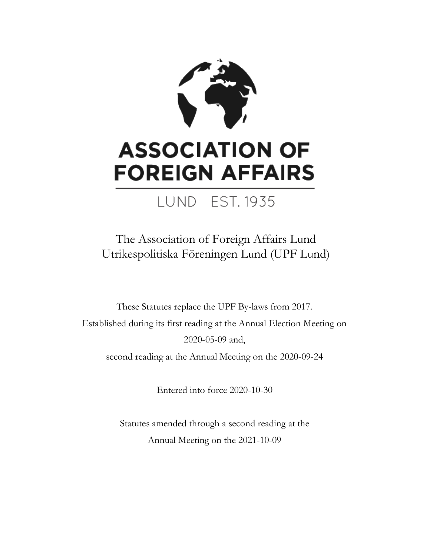

# **ASSOCIATION OF FOREIGN AFFAIRS**

### LUND EST. 1935

The Association of Foreign Affairs Lund Utrikespolitiska Föreningen Lund (UPF Lund)

These Statutes replace the UPF By-laws from 2017. Established during its first reading at the Annual Election Meeting on 2020-05-09 and, second reading at the Annual Meeting on the 2020-09-24

Entered into force 2020-10-30

Statutes amended through a second reading at the Annual Meeting on the 2021-10-09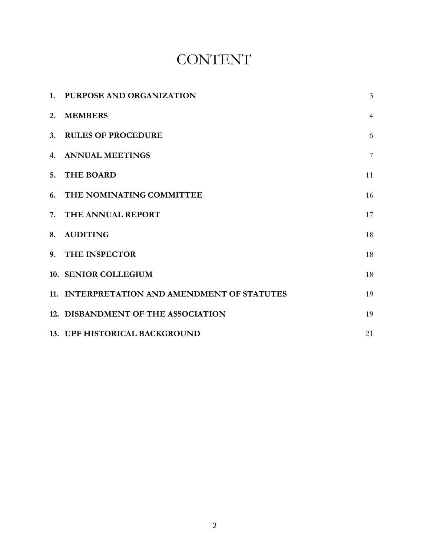### CONTENT

| 1. PURPOSE AND ORGANIZATION                  | $\overline{3}$ |
|----------------------------------------------|----------------|
| 2. MEMBERS                                   | $\overline{4}$ |
| 3. RULES OF PROCEDURE                        | 6              |
| 4. ANNUAL MEETINGS                           | $\overline{7}$ |
| 5. THE BOARD                                 | 11             |
| 6. THE NOMINATING COMMITTEE                  | 16             |
| 7. THE ANNUAL REPORT                         | 17             |
| 8. AUDITING                                  | 18             |
| 9. THE INSPECTOR                             | 18             |
| 10. SENIOR COLLEGIUM                         | 18             |
| 11. INTERPRETATION AND AMENDMENT OF STATUTES | 19             |
| 12. DISBANDMENT OF THE ASSOCIATION           | 19             |
| 13. UPF HISTORICAL BACKGROUND                | 21             |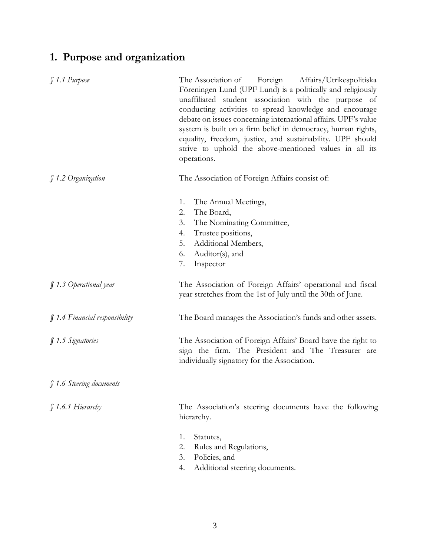#### **1. Purpose and organization**

| $$1.1$ Purpose                 | The Association of Foreign Affairs/Utrikespolitiska<br>Föreningen Lund (UPF Lund) is a politically and religiously<br>unaffiliated student association with the purpose of<br>conducting activities to spread knowledge and encourage<br>debate on issues concerning international affairs. UPF's value<br>system is built on a firm belief in democracy, human rights,<br>equality, freedom, justice, and sustainability. UPF should<br>strive to uphold the above-mentioned values in all its<br>operations. |
|--------------------------------|----------------------------------------------------------------------------------------------------------------------------------------------------------------------------------------------------------------------------------------------------------------------------------------------------------------------------------------------------------------------------------------------------------------------------------------------------------------------------------------------------------------|
| ∫1.2 Organization              | The Association of Foreign Affairs consist of:                                                                                                                                                                                                                                                                                                                                                                                                                                                                 |
|                                | The Annual Meetings,<br>1.<br>The Board,<br>2.<br>3.<br>The Nominating Committee,<br>Trustee positions,<br>4.<br>5.<br>Additional Members,<br>6.<br>Auditor(s), and<br>7.<br>Inspector                                                                                                                                                                                                                                                                                                                         |
| $\int$ 1.3 Operational year    | The Association of Foreign Affairs' operational and fiscal<br>year stretches from the 1st of July until the 30th of June.                                                                                                                                                                                                                                                                                                                                                                                      |
| § 1.4 Financial responsibility | The Board manages the Association's funds and other assets.                                                                                                                                                                                                                                                                                                                                                                                                                                                    |
| § 1.5 Signatories              | The Association of Foreign Affairs' Board have the right to<br>sign the firm. The President and The Treasurer are<br>individually signatory for the Association.                                                                                                                                                                                                                                                                                                                                               |
| § 1.6 Steering documents       |                                                                                                                                                                                                                                                                                                                                                                                                                                                                                                                |
| $$1.6.1$ Hierarchy             | The Association's steering documents have the following<br>hierarchy.                                                                                                                                                                                                                                                                                                                                                                                                                                          |
|                                | 1.<br>Statutes,<br>2.<br>Rules and Regulations,<br>3.<br>Policies, and<br>Additional steering documents.<br>4.                                                                                                                                                                                                                                                                                                                                                                                                 |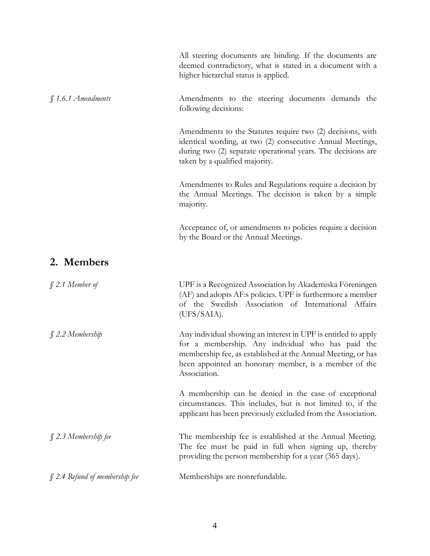|                                     | All steering documents are binding. If the documents are<br>deemed contradictory, what is stated in a document with a<br>higher hierarchal status is applied.                                                                                                |
|-------------------------------------|--------------------------------------------------------------------------------------------------------------------------------------------------------------------------------------------------------------------------------------------------------------|
| $$1.6.1$ Amendments                 | Amendments to the steering documents demands the<br>following decisions:                                                                                                                                                                                     |
|                                     | Amendments to the Statutes require two (2) decisions, with<br>identical wording, at two (2) consecutive Annual Meetings,<br>during two (2) separate operational years. The decisions are<br>taken by a qualified majority.                                   |
|                                     | Amendments to Rules and Regulations require a decision by<br>the Annual Meetings. The decision is taken by a simple<br>majority.                                                                                                                             |
|                                     | Acceptance of, or amendments to policies require a decision<br>by the Board or the Annual Meetings.                                                                                                                                                          |
| 2. Members                          |                                                                                                                                                                                                                                                              |
| $$2.1$ Member of                    | UPF is a Recognized Association by Akademiska Föreningen<br>(AF) and adopts AF:s policies. UPF is furthermore a member<br>of the Swedish Association of International Affairs<br>(UFS/SAIA).                                                                 |
| $$2.2$ Membership                   | Any individual showing an interest in UPF is entitled to apply<br>for a membership. Any individual who has paid the<br>membership fee, as established at the Annual Meeting, or has<br>been appointed an honorary member, is a member of the<br>Association. |
|                                     | A membership can be denied in the case of exceptional<br>circumstances. This includes, but is not limited to, if the<br>applicant has been previously excluded from the Association.                                                                         |
| $$2.3$ Membership fee               | The membership fee is established at the Annual Meeting.<br>The fee must be paid in full when signing up, thereby<br>providing the person membership for a year (365 days).                                                                                  |
| $\int$ 2.4 Refund of membership fee | Memberships are nonrefundable.                                                                                                                                                                                                                               |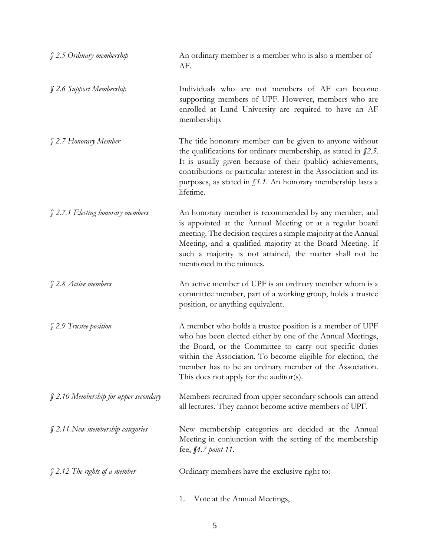| § 2.5 Ordinary membership                  | An ordinary member is a member who is also a member of<br>AF.                                                                                                                                                                                                                                                                                            |
|--------------------------------------------|----------------------------------------------------------------------------------------------------------------------------------------------------------------------------------------------------------------------------------------------------------------------------------------------------------------------------------------------------------|
| § 2.6 Support Membership                   | Individuals who are not members of AF can become<br>supporting members of UPF. However, members who are<br>enrolled at Lund University are required to have an AF<br>membership.                                                                                                                                                                         |
| § 2.7 Honorary Member                      | The title honorary member can be given to anyone without<br>the qualifications for ordinary membership, as stated in $\int 2.5$ .<br>It is usually given because of their (public) achievements,<br>contributions or particular interest in the Association and its<br>purposes, as stated in f1.1. An honorary membership lasts a<br>lifetime.          |
| $$2.7.1$ Electing honorary members         | An honorary member is recommended by any member, and<br>is appointed at the Annual Meeting or at a regular board<br>meeting. The decision requires a simple majority at the Annual<br>Meeting, and a qualified majority at the Board Meeting. If<br>such a majority is not attained, the matter shall not be<br>mentioned in the minutes.                |
| $$2.8$ Active members                      | An active member of UPF is an ordinary member whom is a<br>committee member, part of a working group, holds a trustee<br>position, or anything equivalent.                                                                                                                                                                                               |
| § 2.9 Trustee position                     | A member who holds a trustee position is a member of UPF<br>who has been elected either by one of the Annual Meetings,<br>the Board, or the Committee to carry out specific duties<br>within the Association. To become eligible for election, the<br>member has to be an ordinary member of the Association.<br>This does not apply for the auditor(s). |
| $\int$ 2.10 Membership for upper secondary | Members recruited from upper secondary schools can attend<br>all lectures. They cannot become active members of UPF.                                                                                                                                                                                                                                     |
| $\int$ 2.11 New membership categories      | New membership categories are decided at the Annual<br>Meeting in conjunction with the setting of the membership<br>fee, §4.7 point 11.                                                                                                                                                                                                                  |
| $\int$ 2.12 The rights of a member         | Ordinary members have the exclusive right to:                                                                                                                                                                                                                                                                                                            |
|                                            | Vote at the Annual Meetings,<br>1.                                                                                                                                                                                                                                                                                                                       |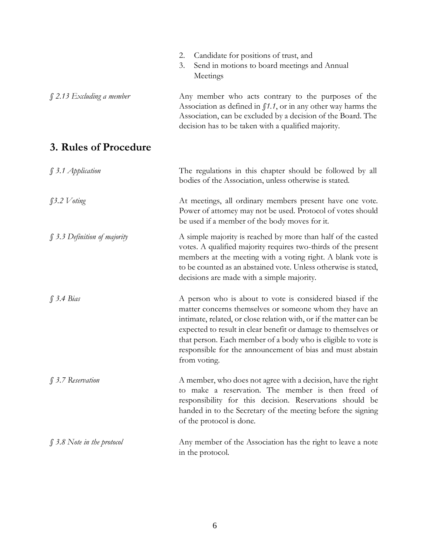|                                 | Candidate for positions of trust, and<br>2.<br>3.<br>Send in motions to board meetings and Annual<br>Meetings                                                                                                                                                                                                                                                                                              |
|---------------------------------|------------------------------------------------------------------------------------------------------------------------------------------------------------------------------------------------------------------------------------------------------------------------------------------------------------------------------------------------------------------------------------------------------------|
| $\int$ 2.13 Excluding a member  | Any member who acts contrary to the purposes of the<br>Association as defined in $\int 1.1$ , or in any other way harms the<br>Association, can be excluded by a decision of the Board. The<br>decision has to be taken with a qualified majority.                                                                                                                                                         |
| 3. Rules of Procedure           |                                                                                                                                                                                                                                                                                                                                                                                                            |
| $\int$ 3.1 Application          | The regulations in this chapter should be followed by all<br>bodies of the Association, unless otherwise is stated.                                                                                                                                                                                                                                                                                        |
| $\int 3.2$ <i>V</i> oting       | At meetings, all ordinary members present have one vote.<br>Power of attorney may not be used. Protocol of votes should<br>be used if a member of the body moves for it.                                                                                                                                                                                                                                   |
| § 3.3 Definition of majority    | A simple majority is reached by more than half of the casted<br>votes. A qualified majority requires two-thirds of the present<br>members at the meeting with a voting right. A blank vote is<br>to be counted as an abstained vote. Unless otherwise is stated,<br>decisions are made with a simple majority.                                                                                             |
| $\int$ 3.4 Bias                 | A person who is about to vote is considered biased if the<br>matter concerns themselves or someone whom they have an<br>intimate, related, or close relation with, or if the matter can be<br>expected to result in clear benefit or damage to themselves or<br>that person. Each member of a body who is eligible to vote is<br>responsible for the announcement of bias and must abstain<br>from voting. |
| § 3.7 Reservation               | A member, who does not agree with a decision, have the right<br>to make a reservation. The member is then freed of<br>responsibility for this decision. Reservations should be<br>handed in to the Secretary of the meeting before the signing<br>of the protocol is done.                                                                                                                                 |
| $\int$ 3.8 Note in the protocol | Any member of the Association has the right to leave a note<br>in the protocol.                                                                                                                                                                                                                                                                                                                            |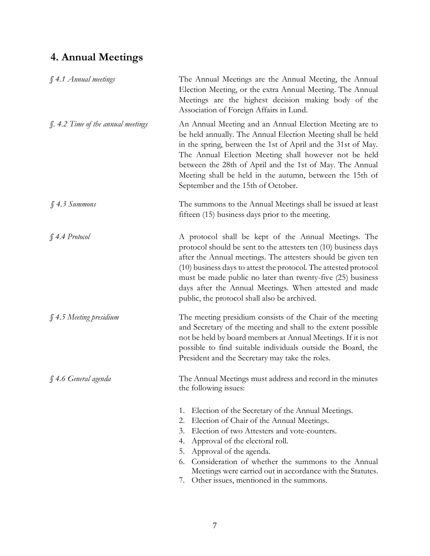#### **4. Annual Meetings**

| § 4.1 Annual meetings                     | The Annual Meetings are the Annual Meeting, the Annual<br>Election Meeting, or the extra Annual Meeting. The Annual<br>Meetings are the highest decision making body of the<br>Association of Foreign Affairs in Lund.                                                                                                                                                                                                               |
|-------------------------------------------|--------------------------------------------------------------------------------------------------------------------------------------------------------------------------------------------------------------------------------------------------------------------------------------------------------------------------------------------------------------------------------------------------------------------------------------|
| <i>f.</i> 4.2 Time of the annual meetings | An Annual Meeting and an Annual Election Meeting are to<br>be held annually. The Annual Election Meeting shall be held<br>in the spring, between the 1st of April and the 31st of May.<br>The Annual Election Meeting shall however not be held<br>between the 28th of April and the 1st of May. The Annual<br>Meeting shall be held in the autumn, between the 15th of<br>September and the 15th of October.                        |
| \$4.3~S <i>Summons</i>                    | The summons to the Annual Meetings shall be issued at least<br>fifteen (15) business days prior to the meeting.                                                                                                                                                                                                                                                                                                                      |
| $$4.4$ Protocol                           | A protocol shall be kept of the Annual Meetings. The<br>protocol should be sent to the attesters ten (10) business days<br>after the Annual meetings. The attesters should be given ten<br>(10) business days to attest the protocol. The attested protocol<br>must be made public no later than twenty-five (25) business<br>days after the Annual Meetings. When attested and made<br>public, the protocol shall also be archived. |
| $$4.5$ Meeting presidium                  | The meeting presidium consists of the Chair of the meeting<br>and Secretary of the meeting and shall to the extent possible<br>not be held by board members at Annual Meetings. If it is not<br>possible to find suitable individuals outside the Board, the<br>President and the Secretary may take the roles.                                                                                                                      |
| § 4.6 General agenda                      | The Annual Meetings must address and record in the minutes<br>the following issues:                                                                                                                                                                                                                                                                                                                                                  |
|                                           | Election of the Secretary of the Annual Meetings.<br>1.<br>Election of Chair of the Annual Meetings.<br>2.<br>Election of two Attesters and vote-counters.<br>3.<br>Approval of the electoral roll.<br>4.<br>Approval of the agenda.<br>5.<br>Consideration of whether the summons to the Annual<br>6.<br>Meetings were carried out in accordance with the Statutes.<br>Other issues, mentioned in the summons.<br>7.                |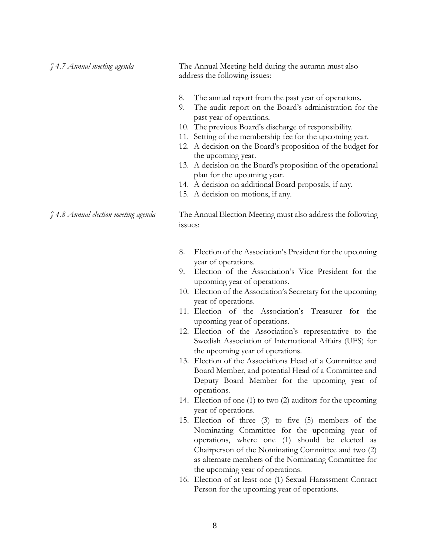*§ 4.7 Annual meeting agenda* The Annual Meeting held during the autumn must also address the following issues: 8. The annual report from the past year of operations. 9. The audit report on the Board's administration for the past year of operations. 10. The previous Board's discharge of responsibility. 11. Setting of the membership fee for the upcoming year. 12. A decision on the Board's proposition of the budget for the upcoming year. 13. A decision on the Board's proposition of the operational plan for the upcoming year. 14. A decision on additional Board proposals, if any.

15. A decision on motions, if any.

*§ 4.8 Annual election meeting agenda* The Annual Election Meeting must also address the following issues:

- 8. Election of the Association's President for the upcoming year of operations.
- 9. Election of the Association's Vice President for the upcoming year of operations.
- 10. Election of the Association's Secretary for the upcoming year of operations.
- 11. Election of the Association's Treasurer for the upcoming year of operations.
- 12. Election of the Association's representative to the Swedish Association of International Affairs (UFS) for the upcoming year of operations.
- 13. Election of the Associations Head of a Committee and Board Member, and potential Head of a Committee and Deputy Board Member for the upcoming year of operations.
- 14. Election of one (1) to two (2) auditors for the upcoming year of operations.
- 15. Election of three (3) to five (5) members of the Nominating Committee for the upcoming year of operations, where one (1) should be elected as Chairperson of the Nominating Committee and two (2) as alternate members of the Nominating Committee for the upcoming year of operations.
- 16. Election of at least one (1) Sexual Harassment Contact Person for the upcoming year of operations.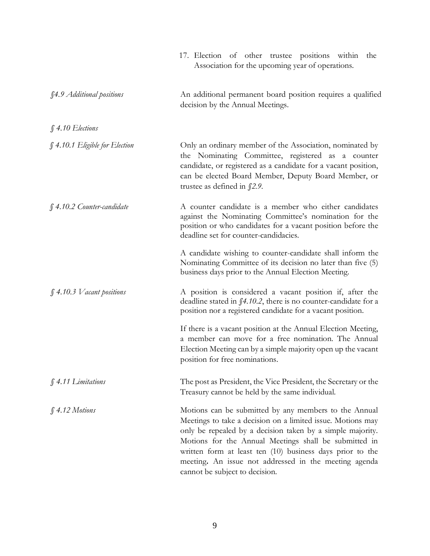|                                | 17. Election of other trustee positions within<br>the<br>Association for the upcoming year of operations.                                                                                                                                                                                                                                                                                           |
|--------------------------------|-----------------------------------------------------------------------------------------------------------------------------------------------------------------------------------------------------------------------------------------------------------------------------------------------------------------------------------------------------------------------------------------------------|
| §4.9 Additional positions      | An additional permanent board position requires a qualified<br>decision by the Annual Meetings.                                                                                                                                                                                                                                                                                                     |
| $$4.10$ Elections              |                                                                                                                                                                                                                                                                                                                                                                                                     |
| § 4.10.1 Eligible for Election | Only an ordinary member of the Association, nominated by<br>the Nominating Committee, registered as a counter<br>candidate, or registered as a candidate for a vacant position,<br>can be elected Board Member, Deputy Board Member, or<br>trustee as defined in $\int$ 2.9.                                                                                                                        |
| $$4.10.2$ Counter-candidate    | A counter candidate is a member who either candidates<br>against the Nominating Committee's nomination for the<br>position or who candidates for a vacant position before the<br>deadline set for counter-candidacies.                                                                                                                                                                              |
|                                | A candidate wishing to counter-candidate shall inform the<br>Nominating Committee of its decision no later than five (5)<br>business days prior to the Annual Election Meeting.                                                                                                                                                                                                                     |
| $$4.10.3$ V acant positions    | A position is considered a vacant position if, after the<br>deadline stated in $\int 4.10.2$ , there is no counter-candidate for a<br>position nor a registered candidate for a vacant position.                                                                                                                                                                                                    |
|                                | If there is a vacant position at the Annual Election Meeting,<br>a member can move for a free nomination. The Annual<br>Election Meeting can by a simple majority open up the vacant<br>position for free nominations.                                                                                                                                                                              |
| § 4.11 Limitations             | The post as President, the Vice President, the Secretary or the<br>Treasury cannot be held by the same individual.                                                                                                                                                                                                                                                                                  |
| \$4.12~Motions                 | Motions can be submitted by any members to the Annual<br>Meetings to take a decision on a limited issue. Motions may<br>only be repealed by a decision taken by a simple majority.<br>Motions for the Annual Meetings shall be submitted in<br>written form at least ten (10) business days prior to the<br>meeting. An issue not addressed in the meeting agenda<br>cannot be subject to decision. |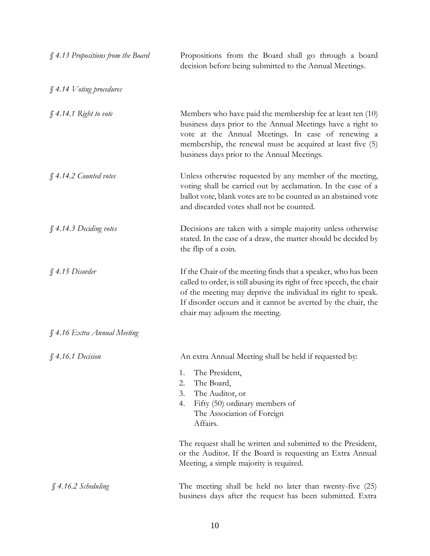| § 4.13 Propositions from the Board | Propositions from the Board shall go through a board<br>decision before being submitted to the Annual Meetings.                                                                                                                                                                                             |
|------------------------------------|-------------------------------------------------------------------------------------------------------------------------------------------------------------------------------------------------------------------------------------------------------------------------------------------------------------|
| $$4.14$ V oting procedures         |                                                                                                                                                                                                                                                                                                             |
| $\int$ 4.14.1 Right to vote        | Members who have paid the membership fee at least ten (10)<br>business days prior to the Annual Meetings have a right to<br>vote at the Annual Meetings. In case of renewing a<br>membership, the renewal must be acquired at least five (5)<br>business days prior to the Annual Meetings.                 |
| § 4.14.2 Counted votes             | Unless otherwise requested by any member of the meeting,<br>voting shall be carried out by acclamation. In the case of a<br>ballot vote, blank votes are to be counted as an abstained vote<br>and discarded votes shall not be counted.                                                                    |
| § 4.14.3 Deciding votes            | Decisions are taken with a simple majority unless otherwise<br>stated. In the case of a draw, the matter should be decided by<br>the flip of a coin.                                                                                                                                                        |
| $$4.15$ Disorder                   | If the Chair of the meeting finds that a speaker, who has been<br>called to order, is still abusing its right of free speech, the chair<br>of the meeting may deprive the individual its right to speak.<br>If disorder occurs and it cannot be averted by the chair, the<br>chair may adjourn the meeting. |
| § 4.16 Extra Annual Meeting        |                                                                                                                                                                                                                                                                                                             |
| $$4.16.1$ Decision                 | An extra Annual Meeting shall be held if requested by:                                                                                                                                                                                                                                                      |
|                                    | 1.<br>The President,<br>2.<br>The Board,<br>3.<br>The Auditor, or<br>Fifty (50) ordinary members of<br>4.<br>The Association of Foreign<br>Affairs.                                                                                                                                                         |
|                                    | The request shall be written and submitted to the President,<br>or the Auditor. If the Board is requesting an Extra Annual<br>Meeting, a simple majority is required.                                                                                                                                       |
| $$4.16.2$ Scheduling               | The meeting shall be held no later than twenty-five (25)<br>business days after the request has been submitted. Extra                                                                                                                                                                                       |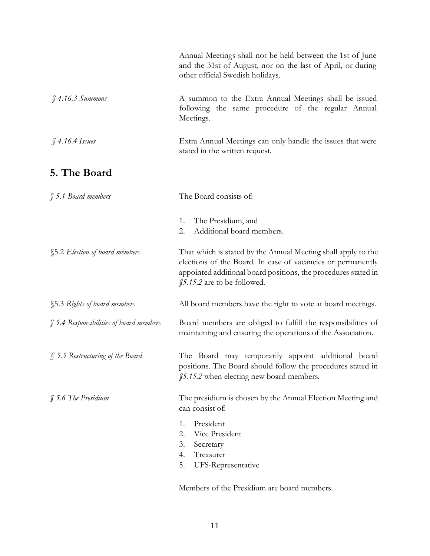|                                         | Annual Meetings shall not be held between the 1st of June<br>and the 31st of August, nor on the last of April, or during<br>other official Swedish holidays.                                                                   |
|-----------------------------------------|--------------------------------------------------------------------------------------------------------------------------------------------------------------------------------------------------------------------------------|
| $$4.16.3$ Summons                       | A summon to the Extra Annual Meetings shall be issued<br>following the same procedure of the regular Annual<br>Meetings.                                                                                                       |
| $$4.16.4$ Issues                        | Extra Annual Meetings can only handle the issues that were<br>stated in the written request.                                                                                                                                   |
| 5. The Board                            |                                                                                                                                                                                                                                |
| $$5.1$ Board members                    | The Board consists of:                                                                                                                                                                                                         |
|                                         | The Presidium, and<br>1.<br>Additional board members.<br>2.                                                                                                                                                                    |
| §5.2 Election of board members          | That which is stated by the Annual Meeting shall apply to the<br>elections of the Board. In case of vacancies or permanently<br>appointed additional board positions, the procedures stated in<br>\$5.15.2 are to be followed. |
| §5.3 Rights of board members            | All board members have the right to vote at board meetings.                                                                                                                                                                    |
| § 5.4 Responsibilities of board members | Board members are obliged to fulfill the responsibilities of<br>maintaining and ensuring the operations of the Association.                                                                                                    |
| § 5.5 Restructuring of the Board        | The Board may temporarily appoint additional board<br>positions. The Board should follow the procedures stated in<br>\$5.15.2 when electing new board members.                                                                 |
| $$5.6$ The Presidium                    | The presidium is chosen by the Annual Election Meeting and<br>can consist of:<br>President<br>1.<br>Vice President<br>2.<br>3.<br>Secretary<br>Treasurer<br>4.<br>5.<br>UFS-Representative                                     |

Members of the Presidium are board members.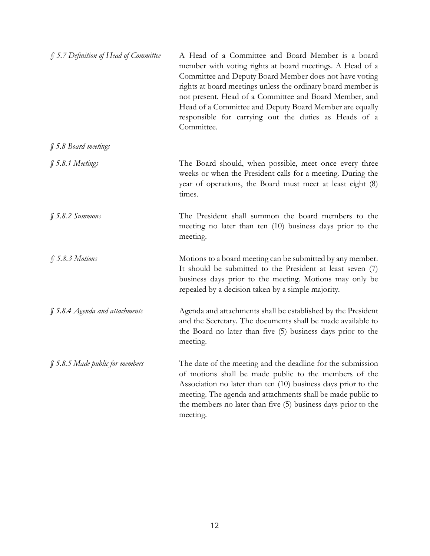| § 5.7 Definition of Head of Committee | A Head of a Committee and Board Member is a board<br>member with voting rights at board meetings. A Head of a<br>Committee and Deputy Board Member does not have voting<br>rights at board meetings unless the ordinary board member is<br>not present. Head of a Committee and Board Member, and<br>Head of a Committee and Deputy Board Member are equally<br>responsible for carrying out the duties as Heads of a<br>Committee. |
|---------------------------------------|-------------------------------------------------------------------------------------------------------------------------------------------------------------------------------------------------------------------------------------------------------------------------------------------------------------------------------------------------------------------------------------------------------------------------------------|
| § 5.8 Board meetings                  |                                                                                                                                                                                                                                                                                                                                                                                                                                     |
| § 5.8.1 Meetings                      | The Board should, when possible, meet once every three<br>weeks or when the President calls for a meeting. During the<br>year of operations, the Board must meet at least eight (8)<br>times.                                                                                                                                                                                                                                       |
| $$5.8.2~\mathcal{S}$ <i>ammons</i>    | The President shall summon the board members to the<br>meeting no later than ten (10) business days prior to the<br>meeting.                                                                                                                                                                                                                                                                                                        |
| $$5.8.3$ Motions                      | Motions to a board meeting can be submitted by any member.<br>It should be submitted to the President at least seven (7)<br>business days prior to the meeting. Motions may only be<br>repealed by a decision taken by a simple majority.                                                                                                                                                                                           |
| $\int$ 5.8.4 Agenda and attachments   | Agenda and attachments shall be established by the President<br>and the Secretary. The documents shall be made available to<br>the Board no later than five (5) business days prior to the<br>meeting.                                                                                                                                                                                                                              |
| $\int$ 5.8.5 Made public for members  | The date of the meeting and the deadline for the submission<br>of motions shall be made public to the members of the<br>Association no later than ten (10) business days prior to the<br>meeting. The agenda and attachments shall be made public to<br>the members no later than five (5) business days prior to the<br>meeting.                                                                                                   |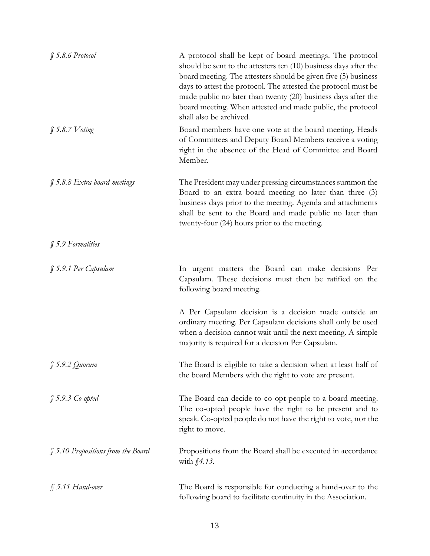| $$5.8.6$ Protocol                   | A protocol shall be kept of board meetings. The protocol<br>should be sent to the attesters ten $(10)$ business days after the<br>board meeting. The attesters should be given five (5) business<br>days to attest the protocol. The attested the protocol must be<br>made public no later than twenty (20) business days after the<br>board meeting. When attested and made public, the protocol<br>shall also be archived. |
|-------------------------------------|------------------------------------------------------------------------------------------------------------------------------------------------------------------------------------------------------------------------------------------------------------------------------------------------------------------------------------------------------------------------------------------------------------------------------|
| $\int$ 5.8.7 Voting                 | Board members have one vote at the board meeting. Heads<br>of Committees and Deputy Board Members receive a voting<br>right in the absence of the Head of Committee and Board<br>Member.                                                                                                                                                                                                                                     |
| $\int$ 5.8.8 Extra board meetings   | The President may under pressing circumstances summon the<br>Board to an extra board meeting no later than three (3)<br>business days prior to the meeting. Agenda and attachments<br>shall be sent to the Board and made public no later than<br>twenty-four (24) hours prior to the meeting.                                                                                                                               |
| § 5.9 Formalities                   |                                                                                                                                                                                                                                                                                                                                                                                                                              |
| § 5.9.1 Per Capsulam                | In urgent matters the Board can make decisions Per<br>Capsulam. These decisions must then be ratified on the<br>following board meeting.                                                                                                                                                                                                                                                                                     |
|                                     | A Per Capsulam decision is a decision made outside an<br>ordinary meeting. Per Capsulam decisions shall only be used<br>when a decision cannot wait until the next meeting. A simple<br>majority is required for a decision Per Capsulam.                                                                                                                                                                                    |
| $$5.9.2$ Quorum                     | The Board is eligible to take a decision when at least half of<br>the board Members with the right to vote are present.                                                                                                                                                                                                                                                                                                      |
| $$5.9.3$ Co-opted                   | The Board can decide to co-opt people to a board meeting.<br>The co-opted people have the right to be present and to<br>speak. Co-opted people do not have the right to vote, nor the<br>right to move.                                                                                                                                                                                                                      |
| $$5.10$ Propositions from the Board | Propositions from the Board shall be executed in accordance<br>with $\int 4.13$ .                                                                                                                                                                                                                                                                                                                                            |
| $$5.11$ Hand-over                   | The Board is responsible for conducting a hand-over to the<br>following board to facilitate continuity in the Association.                                                                                                                                                                                                                                                                                                   |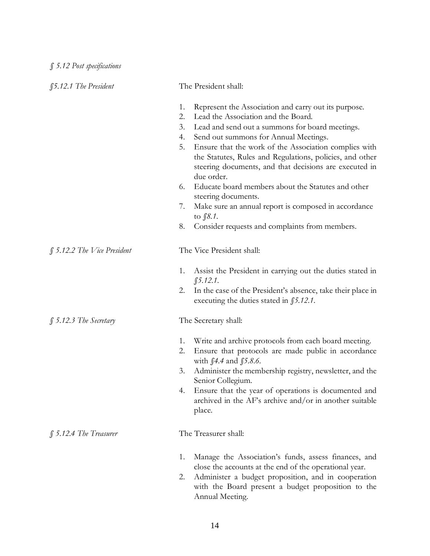| §5.12.1 The President       | The President shall:                                                                                                                                                                                                                                                                                                                                                                                                                                                           |
|-----------------------------|--------------------------------------------------------------------------------------------------------------------------------------------------------------------------------------------------------------------------------------------------------------------------------------------------------------------------------------------------------------------------------------------------------------------------------------------------------------------------------|
|                             | 1.<br>Represent the Association and carry out its purpose.<br>Lead the Association and the Board.<br>2.<br>3.<br>Lead and send out a summons for board meetings.<br>Send out summons for Annual Meetings.<br>4.<br>5.<br>Ensure that the work of the Association complies with<br>the Statutes, Rules and Regulations, policies, and other<br>steering documents, and that decisions are executed in<br>due order.<br>Educate board members about the Statutes and other<br>6. |
|                             | steering documents.<br>Make sure an annual report is composed in accordance<br>7.<br>to $$8.1$ .                                                                                                                                                                                                                                                                                                                                                                               |
|                             | 8.<br>Consider requests and complaints from members.                                                                                                                                                                                                                                                                                                                                                                                                                           |
| § 5.12.2 The Vice President | The Vice President shall:                                                                                                                                                                                                                                                                                                                                                                                                                                                      |
|                             | Assist the President in carrying out the duties stated in<br>1.<br>$$5.12.1$ .<br>In the case of the President's absence, take their place in<br>2.<br>executing the duties stated in $$5.12.1$ .                                                                                                                                                                                                                                                                              |
| $$5.12.3$ The Secretary     | The Secretary shall:                                                                                                                                                                                                                                                                                                                                                                                                                                                           |
|                             | Write and archive protocols from each board meeting.<br>1.<br>Ensure that protocols are made public in accordance<br>2.<br>with $$4.4$ and $$5.8.6$ .<br>Administer the membership registry, newsletter, and the<br>3.<br>Senior Collegium.<br>Ensure that the year of operations is documented and<br>4.<br>archived in the AF's archive and/or in another suitable<br>place.                                                                                                 |
| $$5.12.4$ The Treasurer     | The Treasurer shall:                                                                                                                                                                                                                                                                                                                                                                                                                                                           |
|                             | Manage the Association's funds, assess finances, and<br>1.<br>close the accounts at the end of the operational year.<br>Administer a budget proposition, and in cooperation<br>2.<br>with the Board present a budget proposition to the<br>Annual Meeting.                                                                                                                                                                                                                     |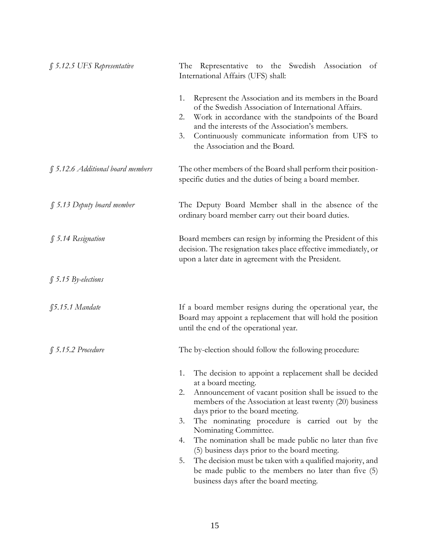| $\int$ 5.12.5 UFS Representative  | The Representative to the Swedish Association of<br>International Affairs (UFS) shall:                                                                                                                                                                                                                                                                                                                                                                                                                                                                                           |
|-----------------------------------|----------------------------------------------------------------------------------------------------------------------------------------------------------------------------------------------------------------------------------------------------------------------------------------------------------------------------------------------------------------------------------------------------------------------------------------------------------------------------------------------------------------------------------------------------------------------------------|
|                                   | Represent the Association and its members in the Board<br>1.<br>of the Swedish Association of International Affairs.<br>Work in accordance with the standpoints of the Board<br>2.<br>and the interests of the Association's members.<br>Continuously communicate information from UFS to<br>3.<br>the Association and the Board.                                                                                                                                                                                                                                                |
| § 5.12.6 Additional board members | The other members of the Board shall perform their position-<br>specific duties and the duties of being a board member.                                                                                                                                                                                                                                                                                                                                                                                                                                                          |
| $\int$ 5.13 Deputy board member   | The Deputy Board Member shall in the absence of the<br>ordinary board member carry out their board duties.                                                                                                                                                                                                                                                                                                                                                                                                                                                                       |
| § 5.14 Resignation                | Board members can resign by informing the President of this<br>decision. The resignation takes place effective immediately, or<br>upon a later date in agreement with the President.                                                                                                                                                                                                                                                                                                                                                                                             |
| $\int$ 5.15 By-elections          |                                                                                                                                                                                                                                                                                                                                                                                                                                                                                                                                                                                  |
| $$5.15.1$ Mandate                 | If a board member resigns during the operational year, the<br>Board may appoint a replacement that will hold the position<br>until the end of the operational year.                                                                                                                                                                                                                                                                                                                                                                                                              |
| $$5.15.2$ Procedure               | The by-election should follow the following procedure:                                                                                                                                                                                                                                                                                                                                                                                                                                                                                                                           |
|                                   | The decision to appoint a replacement shall be decided<br>1.<br>at a board meeting.<br>Announcement of vacant position shall be issued to the<br>2.<br>members of the Association at least twenty (20) business<br>days prior to the board meeting.<br>The nominating procedure is carried out by the<br>3.<br>Nominating Committee.<br>The nomination shall be made public no later than five<br>4.<br>(5) business days prior to the board meeting.<br>The decision must be taken with a qualified majority, and<br>5.<br>be made public to the members no later than five (5) |
|                                   | business days after the board meeting.                                                                                                                                                                                                                                                                                                                                                                                                                                                                                                                                           |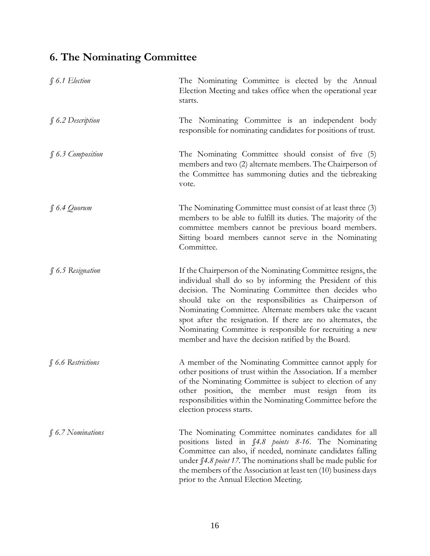#### **6. The Nominating Committee**

| $$6.1$ Election        | The Nominating Committee is elected by the Annual<br>Election Meeting and takes office when the operational year<br>starts.                                                                                                                                                                                                                                                                                                                                                           |
|------------------------|---------------------------------------------------------------------------------------------------------------------------------------------------------------------------------------------------------------------------------------------------------------------------------------------------------------------------------------------------------------------------------------------------------------------------------------------------------------------------------------|
| $\int$ 6.2 Description | The Nominating Committee is an independent body<br>responsible for nominating candidates for positions of trust.                                                                                                                                                                                                                                                                                                                                                                      |
| $$6.3$ Composition     | The Nominating Committee should consist of five (5)<br>members and two (2) alternate members. The Chairperson of<br>the Committee has summoning duties and the tiebreaking<br>vote.                                                                                                                                                                                                                                                                                                   |
| $\int 6.4$ Quorum      | The Nominating Committee must consist of at least three (3)<br>members to be able to fulfill its duties. The majority of the<br>committee members cannot be previous board members.<br>Sitting board members cannot serve in the Nominating<br>Committee.                                                                                                                                                                                                                             |
| $$6.5$ Resignation     | If the Chairperson of the Nominating Committee resigns, the<br>individual shall do so by informing the President of this<br>decision. The Nominating Committee then decides who<br>should take on the responsibilities as Chairperson of<br>Nominating Committee. Alternate members take the vacant<br>spot after the resignation. If there are no alternates, the<br>Nominating Committee is responsible for recruiting a new<br>member and have the decision ratified by the Board. |
| $$6.6$ Restrictions    | A member of the Nominating Committee cannot apply for<br>other positions of trust within the Association. If a member<br>of the Nominating Committee is subject to election of any<br>other position, the member must resign from its<br>responsibilities within the Nominating Committee before the<br>election process starts.                                                                                                                                                      |
| $\int$ 6.7 Nominations | The Nominating Committee nominates candidates for all<br>positions listed in \$4.8 points 8-16. The Nominating<br>Committee can also, if needed, nominate candidates falling<br>under f4.8 point 17. The nominations shall be made public for<br>the members of the Association at least ten (10) business days<br>prior to the Annual Election Meeting.                                                                                                                              |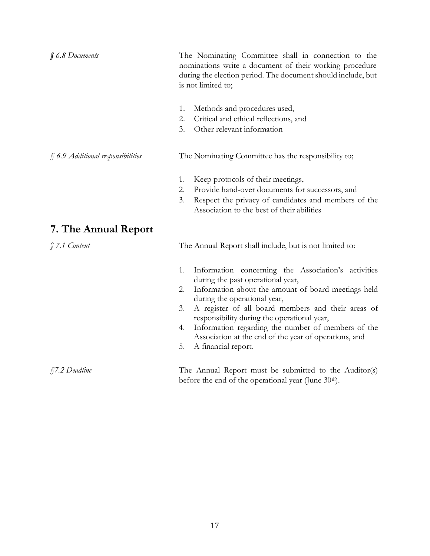| $$6.8$ Documents                  | The Nominating Committee shall in connection to the<br>nominations write a document of their working procedure<br>during the election period. The document should include, but<br>is not limited to;                                                                                                                                                                                                                                                     |
|-----------------------------------|----------------------------------------------------------------------------------------------------------------------------------------------------------------------------------------------------------------------------------------------------------------------------------------------------------------------------------------------------------------------------------------------------------------------------------------------------------|
|                                   | 1.<br>Methods and procedures used,<br>2.<br>Critical and ethical reflections, and<br>3.<br>Other relevant information                                                                                                                                                                                                                                                                                                                                    |
| § 6.9 Additional responsibilities | The Nominating Committee has the responsibility to;                                                                                                                                                                                                                                                                                                                                                                                                      |
|                                   | 1.<br>Keep protocols of their meetings,<br>Provide hand-over documents for successors, and<br>2.<br>Respect the privacy of candidates and members of the<br>3.<br>Association to the best of their abilities                                                                                                                                                                                                                                             |
| 7. The Annual Report              |                                                                                                                                                                                                                                                                                                                                                                                                                                                          |
| $$7.1$ Content                    | The Annual Report shall include, but is not limited to:                                                                                                                                                                                                                                                                                                                                                                                                  |
|                                   | Information concerning the Association's activities<br>1.<br>during the past operational year,<br>Information about the amount of board meetings held<br>2.<br>during the operational year,<br>A register of all board members and their areas of<br>3.<br>responsibility during the operational year,<br>Information regarding the number of members of the<br>4.<br>Association at the end of the year of operations, and<br>5.<br>A financial report. |
| <i>S7.2 Deadline</i>              | The Annual Report must be submitted to the Auditor(s)<br>before the end of the operational year (June 30 <sup>th</sup> ).                                                                                                                                                                                                                                                                                                                                |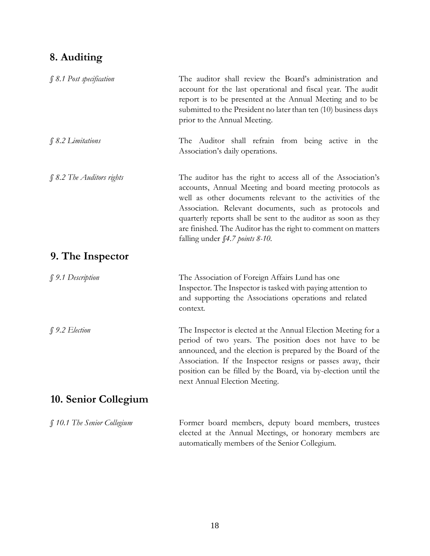#### **8. Auditing**

| § 8.1 Post specification    | The auditor shall review the Board's administration and<br>account for the last operational and fiscal year. The audit<br>report is to be presented at the Annual Meeting and to be<br>submitted to the President no later than ten (10) business days<br>prior to the Annual Meeting.                                                                                                                                       |
|-----------------------------|------------------------------------------------------------------------------------------------------------------------------------------------------------------------------------------------------------------------------------------------------------------------------------------------------------------------------------------------------------------------------------------------------------------------------|
| $$ 8.2$ <i>Limitations</i>  | The Auditor shall refrain from being active in the<br>Association's daily operations.                                                                                                                                                                                                                                                                                                                                        |
| § 8.2 The Auditors rights   | The auditor has the right to access all of the Association's<br>accounts, Annual Meeting and board meeting protocols as<br>well as other documents relevant to the activities of the<br>Association. Relevant documents, such as protocols and<br>quarterly reports shall be sent to the auditor as soon as they<br>are finished. The Auditor has the right to comment on matters<br>falling under <i>§4.7 points 8-10</i> . |
| 9. The Inspector            |                                                                                                                                                                                                                                                                                                                                                                                                                              |
| § 9.1 Description           | The Association of Foreign Affairs Lund has one<br>Inspector. The Inspector is tasked with paying attention to<br>and supporting the Associations operations and related<br>context.                                                                                                                                                                                                                                         |
| $$9.2$ Election             | The Inspector is elected at the Annual Election Meeting for a<br>period of two years. The position does not have to be<br>announced, and the election is prepared by the Board of the<br>Association. If the Inspector resigns or passes away, their<br>position can be filled by the Board, via by-election until the<br>next Annual Election Meeting.                                                                      |
| 10. Senior Collegium        |                                                                                                                                                                                                                                                                                                                                                                                                                              |
| § 10.1 The Senior Collegium | Former board members, deputy board members, trustees<br>elected at the Annual Meetings, or honorary members are                                                                                                                                                                                                                                                                                                              |

automatically members of the Senior Collegium.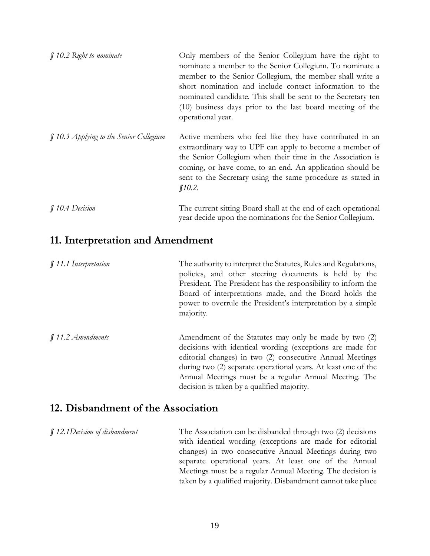| $\int$ 10.2 Right to nominate           | Only members of the Senior Collegium have the right to<br>nominate a member to the Senior Collegium. To nominate a<br>member to the Senior Collegium, the member shall write a<br>short nomination and include contact information to the<br>nominated candidate. This shall be sent to the Secretary ten<br>(10) business days prior to the last board meeting of the<br>operational year. |
|-----------------------------------------|---------------------------------------------------------------------------------------------------------------------------------------------------------------------------------------------------------------------------------------------------------------------------------------------------------------------------------------------------------------------------------------------|
| § 10.3 Applying to the Senior Collegium | Active members who feel like they have contributed in an<br>extraordinary way to UPF can apply to become a member of<br>the Senior Collegium when their time in the Association is<br>coming, or have come, to an end. An application should be<br>sent to the Secretary using the same procedure as stated in<br>\$10.2.                                                                   |
| <b>f</b> 10.4 Decision                  | The current sitting Board shall at the end of each operational<br>year decide upon the nominations for the Senior Collegium.                                                                                                                                                                                                                                                                |

#### **11. Interpretation and Amendment**

| $\int$ 11.1 Interpretation | The authority to interpret the Statutes, Rules and Regulations,<br>policies, and other steering documents is held by the<br>President. The President has the responsibility to inform the<br>Board of interpretations made, and the Board holds the<br>power to overrule the President's interpretation by a simple<br>majority.                         |
|----------------------------|----------------------------------------------------------------------------------------------------------------------------------------------------------------------------------------------------------------------------------------------------------------------------------------------------------------------------------------------------------|
| $$11.2$ Amendments         | Amendment of the Statutes may only be made by two (2)<br>decisions with identical wording (exceptions are made for<br>editorial changes) in two (2) consecutive Annual Meetings<br>during two (2) separate operational years. At least one of the<br>Annual Meetings must be a regular Annual Meeting. The<br>decision is taken by a qualified majority. |

#### **12. Disbandment of the Association**

*§ 12.1Decision of disbandment* The Association can be disbanded through two (2) decisions with identical wording (exceptions are made for editorial changes) in two consecutive Annual Meetings during two separate operational years. At least one of the Annual Meetings must be a regular Annual Meeting. The decision is taken by a qualified majority. Disbandment cannot take place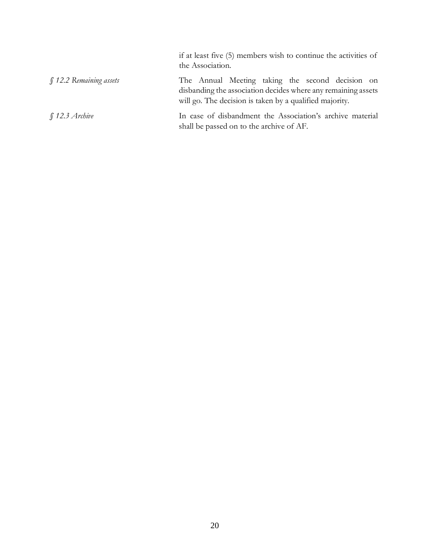|                        | if at least five (5) members wish to continue the activities of<br>the Association.                                                                                          |
|------------------------|------------------------------------------------------------------------------------------------------------------------------------------------------------------------------|
| ∬12.2 Remaining assets | The Annual Meeting taking the second decision on<br>disbanding the association decides where any remaining assets<br>will go. The decision is taken by a qualified majority. |
| $\int$ 12.3 Archive    | In case of disbandment the Association's archive material<br>shall be passed on to the archive of AF.                                                                        |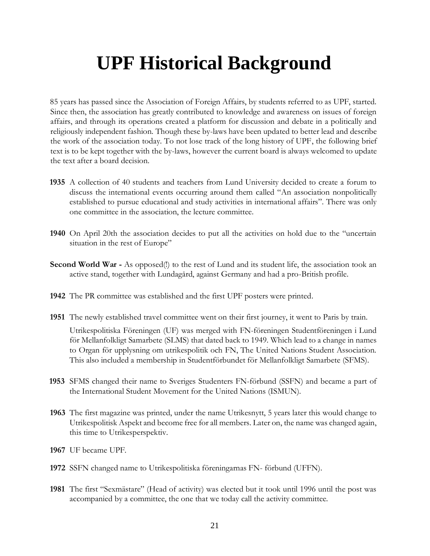## **UPF Historical Background**

85 years has passed since the Association of Foreign Affairs, by students referred to as UPF, started. Since then, the association has greatly contributed to knowledge and awareness on issues of foreign affairs, and through its operations created a platform for discussion and debate in a politically and religiously independent fashion. Though these by-laws have been updated to better lead and describe the work of the association today. To not lose track of the long history of UPF, the following brief text is to be kept together with the by-laws, however the current board is always welcomed to update the text after a board decision.

- **1935** A collection of 40 students and teachers from Lund University decided to create a forum to discuss the international events occurring around them called "An association nonpolitically established to pursue educational and study activities in international affairs". There was only one committee in the association, the lecture committee.
- **1940** On April 20th the association decides to put all the activities on hold due to the "uncertain situation in the rest of Europe"
- **Second World War** As opposed(!) to the rest of Lund and its student life, the association took an active stand, together with Lundagård, against Germany and had a pro-British profile.
- **1942** The PR committee was established and the first UPF posters were printed.
- **1951** The newly established travel committee went on their first journey, it went to Paris by train. Utrikespolitiska Föreningen (UF) was merged with FN-föreningen Studentföreningen i Lund för Mellanfolkligt Samarbete (SLMS) that dated back to 1949. Which lead to a change in names to Organ för upplysning om utrikespolitik och FN, The United Nations Student Association. This also included a membership in Studentförbundet för Mellanfolkligt Samarbete (SFMS).
- **1953** SFMS changed their name to Sveriges Studenters FN-förbund (SSFN) and became a part of the International Student Movement for the United Nations (ISMUN).
- **1963** The first magazine was printed, under the name Utrikesnytt, 5 years later this would change to Utrikespolitisk Aspekt and become free for all members. Later on, the name was changed again, this time to Utrikesperspektiv.
- **1967** UF became UPF.
- **1972** SSFN changed name to Utrikespolitiska föreningarnas FN- förbund (UFFN).
- **1981** The first "Sexmästare" (Head of activity) was elected but it took until 1996 until the post was accompanied by a committee, the one that we today call the activity committee.